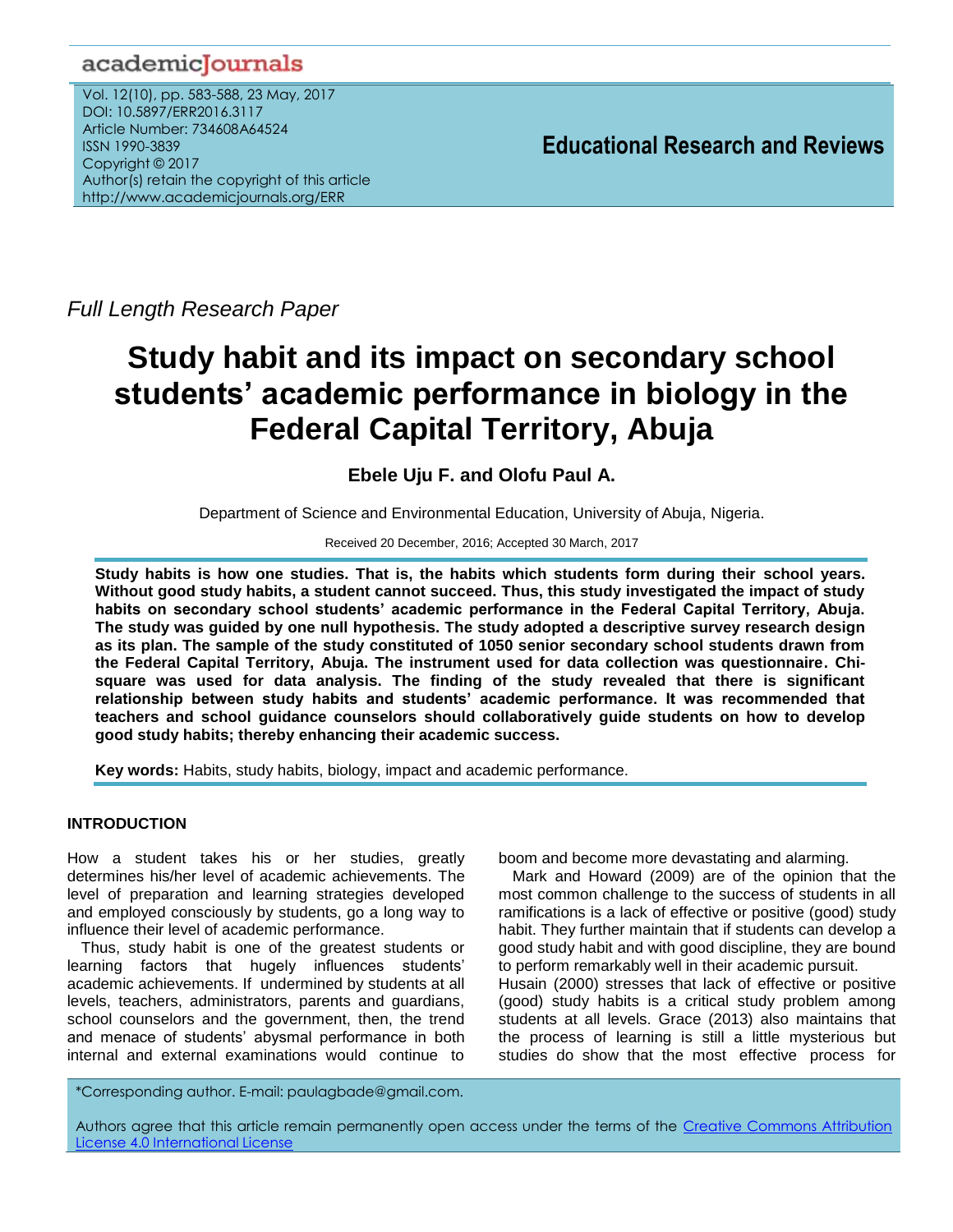## academicJournals

Vol. 12(10), pp. 583-588, 23 May, 2017 DOI: 10.5897/ERR2016.3117 Article Number: 734608A64524 ISSN 1990-3839 Copyright © 2017 Author(s) retain the copyright of this article http://www.academicjournals.org/ERR

**Educational Research and Reviews**

*Full Length Research Paper*

# **Study habit and its impact on secondary school students' academic performance in biology in the Federal Capital Territory, Abuja**

### **Ebele Uju F. and Olofu Paul A.**

Department of Science and Environmental Education, University of Abuja, Nigeria.

#### Received 20 December, 2016; Accepted 30 March, 2017

**Study habits is how one studies. That is, the habits which students form during their school years. Without good study habits, a student cannot succeed. Thus, this study investigated the impact of study habits on secondary school students' academic performance in the Federal Capital Territory, Abuja. The study was guided by one null hypothesis. The study adopted a descriptive survey research design as its plan. The sample of the study constituted of 1050 senior secondary school students drawn from the Federal Capital Territory, Abuja. The instrument used for data collection was questionnaire. Chisquare was used for data analysis. The finding of the study revealed that there is significant relationship between study habits and students' academic performance. It was recommended that teachers and school guidance counselors should collaboratively guide students on how to develop good study habits; thereby enhancing their academic success.**

**Key words:** Habits, study habits, biology, impact and academic performance.

#### **INTRODUCTION**

How a student takes his or her studies, greatly determines his/her level of academic achievements. The level of preparation and learning strategies developed and employed consciously by students, go a long way to influence their level of academic performance.

Thus, study habit is one of the greatest students or learning factors that hugely influences students' academic achievements. If undermined by students at all levels, teachers, administrators, parents and guardians, school counselors and the government, then, the trend and menace of students' abysmal performance in both internal and external examinations would continue to boom and become more devastating and alarming.

Mark and Howard (2009) are of the opinion that the most common challenge to the success of students in all ramifications is a lack of effective or positive (good) study habit. They further maintain that if students can develop a good study habit and with good discipline, they are bound to perform remarkably well in their academic pursuit. Husain (2000) stresses that lack of effective or positive (good) study habits is a critical study problem among students at all levels. Grace (2013) also maintains that the process of learning is still a little mysterious but studies do show that the most effective process for

\*Corresponding author. E-mail: paulagbade@gmail.com.

Authors agree that this article remain permanently open access under the terms of the Creative Commons Attribution [License 4.0 International License](file://192.168.1.24/reading/Arts%20and%20Education/ERR/2014/sept/read/Correction%20Pdf%201/ERR-17.04.14-1816/Publication/Creative%20Co)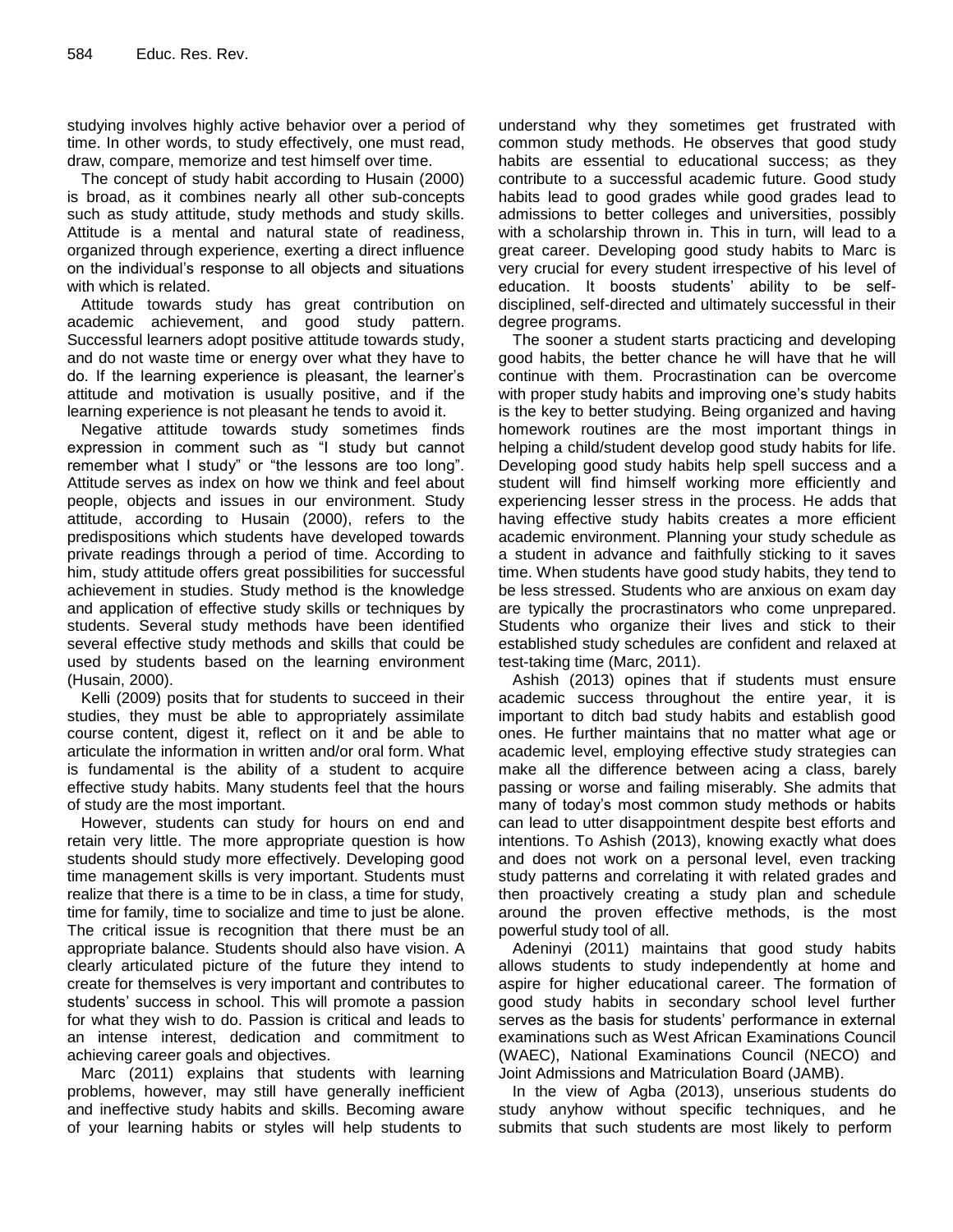studying involves highly active behavior over a period of time. In other words, to study effectively, one must read, draw, compare, memorize and test himself over time.

The concept of study habit according to Husain (2000) is broad, as it combines nearly all other sub-concepts such as study attitude, study methods and study skills. Attitude is a mental and natural state of readiness, organized through experience, exerting a direct influence on the individual's response to all objects and situations with which is related.

Attitude towards study has great contribution on academic achievement, and good study pattern. Successful learners adopt positive attitude towards study, and do not waste time or energy over what they have to do. If the learning experience is pleasant, the learner's attitude and motivation is usually positive, and if the learning experience is not pleasant he tends to avoid it.

Negative attitude towards study sometimes finds expression in comment such as "I study but cannot remember what I study" or "the lessons are too long". Attitude serves as index on how we think and feel about people, objects and issues in our environment. Study attitude, according to Husain (2000), refers to the predispositions which students have developed towards private readings through a period of time. According to him, study attitude offers great possibilities for successful achievement in studies. Study method is the knowledge and application of effective study skills or techniques by students. Several study methods have been identified several effective study methods and skills that could be used by students based on the learning environment (Husain, 2000).

Kelli (2009) posits that for students to succeed in their studies, they must be able to appropriately assimilate course content, digest it, reflect on it and be able to articulate the information in written and/or oral form. What is fundamental is the ability of a student to acquire effective study habits. Many students feel that the hours of study are the most important.

However, students can study for hours on end and retain very little. The more appropriate question is how students should study more effectively. Developing good time management skills is very important. Students must realize that there is a time to be in class, a time for study, time for family, time to socialize and time to just be alone. The critical issue is recognition that there must be an appropriate balance. Students should also have vision. A clearly articulated picture of the future they intend to create for themselves is very important and contributes to students' success in school. This will promote a passion for what they wish to do. Passion is critical and leads to an intense interest, dedication and commitment to achieving career goals and objectives.

Marc (2011) explains that students with learning problems, however, may still have generally inefficient and ineffective study habits and skills. Becoming aware of your learning habits or styles will help students to

understand why they sometimes get frustrated with common study methods. He observes that good study habits are essential to educational success; as they contribute to a successful academic future. Good study habits lead to good grades while good grades lead to admissions to better colleges and universities, possibly with a scholarship thrown in. This in turn, will lead to a great career. Developing good study habits to Marc is very crucial for every student irrespective of his level of education. It boosts students' ability to be selfdisciplined, self-directed and ultimately successful in their degree programs.

The sooner a student starts practicing and developing good habits, the better chance he will have that he will continue with them. Procrastination can be overcome with proper study habits and improving one's study habits is the key to better studying. Being organized and having homework routines are the most important things in helping a child/student develop good study habits for life. Developing good study habits help spell success and a student will find himself working more efficiently and experiencing lesser stress in the process. He adds that having effective study habits creates a more efficient academic environment. Planning your study schedule as a student in advance and faithfully sticking to it saves time. When students have good study habits, they tend to be less stressed. Students who are anxious on exam day are typically the procrastinators who come unprepared. Students who organize their lives and stick to their established study schedules are confident and relaxed at test-taking time (Marc, 2011).

Ashish (2013) opines that if students must ensure academic success throughout the entire year, it is important to ditch bad study habits and establish good ones. He further maintains that no matter what age or academic level, employing effective study strategies can make all the difference between acing a class, barely passing or worse and failing miserably. She admits that many of today's most common study methods or habits can lead to utter disappointment despite best efforts and intentions. To Ashish (2013), knowing exactly what does and does not work on a personal level, even tracking study patterns and correlating it with related grades and then proactively creating a study plan and schedule around the proven effective methods, is the most powerful study tool of all.

Adeninyi (2011) maintains that good study habits allows students to study independently at home and aspire for higher educational career. The formation of good study habits in secondary school level further serves as the basis for students' performance in external examinations such as West African Examinations Council (WAEC), National Examinations Council (NECO) and Joint Admissions and Matriculation Board (JAMB).

In the view of Agba (2013), unserious students do study anyhow without specific techniques, and he submits that such students are most likely to perform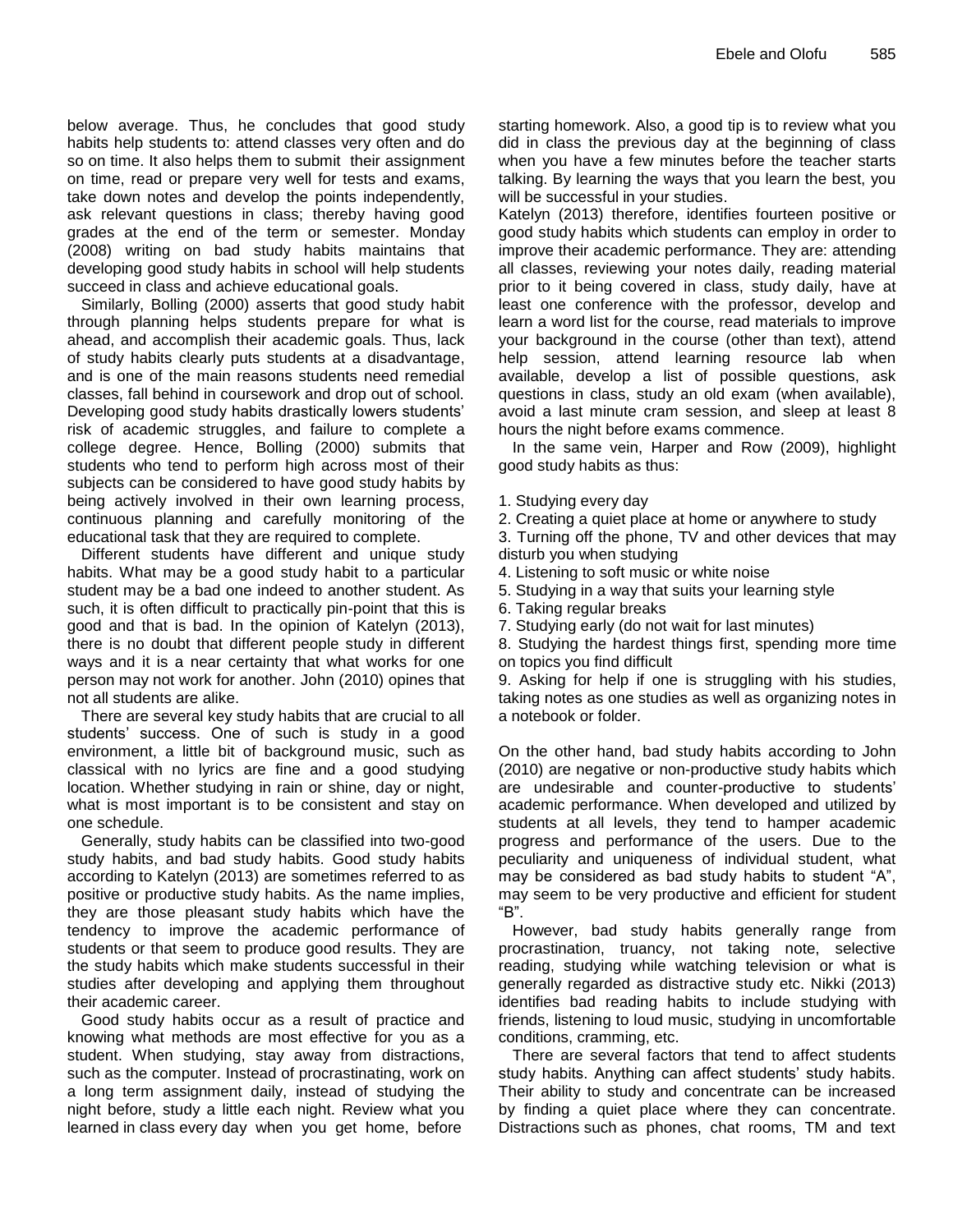below average. Thus, he concludes that good study habits help students to: attend classes very often and do so on time. It also helps them to submit their assignment on time, read or prepare very well for tests and exams, take down notes and develop the points independently, ask relevant questions in class; thereby having good grades at the end of the term or semester. Monday (2008) writing on bad study habits maintains that developing good study habits in school will help students succeed in class and achieve educational goals.

Similarly, Bolling (2000) asserts that good study habit through planning helps students prepare for what is ahead, and accomplish their academic goals. Thus, lack of study habits clearly puts students at a disadvantage, and is one of the main reasons students need remedial classes, fall behind in coursework and drop out of school. Developing good study habits drastically lowers students' risk of academic struggles, and failure to complete a college degree. Hence, Bolling (2000) submits that students who tend to perform high across most of their subjects can be considered to have good study habits by being actively involved in their own learning process, continuous planning and carefully monitoring of the educational task that they are required to complete.

Different students have different and unique study habits. What may be a good study habit to a particular student may be a bad one indeed to another student. As such, it is often difficult to practically pin-point that this is good and that is bad. In the opinion of Katelyn (2013), there is no doubt that different people study in different ways and it is a near certainty that what works for one person may not work for another. John (2010) opines that not all students are alike.

There are several key study habits that are crucial to all students' success. One of such is study in a good environment, a little bit of background music, such as classical with no lyrics are fine and a good studying location. Whether studying in rain or shine, day or night, what is most important is to be consistent and stay on one schedule.

Generally, study habits can be classified into two-good study habits, and bad study habits. Good study habits according to Katelyn (2013) are sometimes referred to as positive or productive study habits. As the name implies, they are those pleasant study habits which have the tendency to improve the academic performance of students or that seem to produce good results. They are the study habits which make students successful in their studies after developing and applying them throughout their academic career.

Good study habits occur as a result of practice and knowing what methods are most effective for you as a student. When studying, stay away from distractions, such as the computer. Instead of procrastinating, work on a long term assignment daily, instead of studying the night before, study a little each night. Review what you learned in class every day when you get home, before

starting homework. Also, a good tip is to review what you did in class the previous day at the beginning of class when you have a few minutes before the teacher starts talking. By learning the ways that you learn the best, you will be successful in your studies.

Katelyn (2013) therefore, identifies fourteen positive or good study habits which students can employ in order to improve their academic performance. They are: attending all classes, reviewing your notes daily, reading material prior to it being covered in class, study daily, have at least one conference with the professor, develop and learn a word list for the course, read materials to improve your background in the course (other than text), attend help session, attend learning resource lab when available, develop a list of possible questions, ask questions in class, study an old exam (when available), avoid a last minute cram session, and sleep at least 8 hours the night before exams commence.

In the same vein, Harper and Row (2009), highlight good study habits as thus:

- 1. Studying every day
- 2. Creating a quiet place at home or anywhere to study

3. Turning off the phone, TV and other devices that may disturb you when studying

- 4. Listening to soft music or white noise
- 5. Studying in a way that suits your learning style
- 6. Taking regular breaks
- 7. Studying early (do not wait for last minutes)

8. Studying the hardest things first, spending more time on topics you find difficult

9. Asking for help if one is struggling with his studies, taking notes as one studies as well as organizing notes in a notebook or folder.

On the other hand, bad study habits according to John (2010) are negative or non-productive study habits which are undesirable and counter-productive to students' academic performance. When developed and utilized by students at all levels, they tend to hamper academic progress and performance of the users. Due to the peculiarity and uniqueness of individual student, what may be considered as bad study habits to student "A", may seem to be very productive and efficient for student "B".

However, bad study habits generally range from procrastination, truancy, not taking note, selective reading, studying while watching television or what is generally regarded as distractive study etc. Nikki (2013) identifies bad reading habits to include studying with friends, listening to loud music, studying in uncomfortable conditions, cramming, etc.

There are several factors that tend to affect students study habits. Anything can affect students' study habits. Their ability to study and concentrate can be increased by finding a quiet place where they can concentrate. Distractions such as phones, chat rooms, TM and text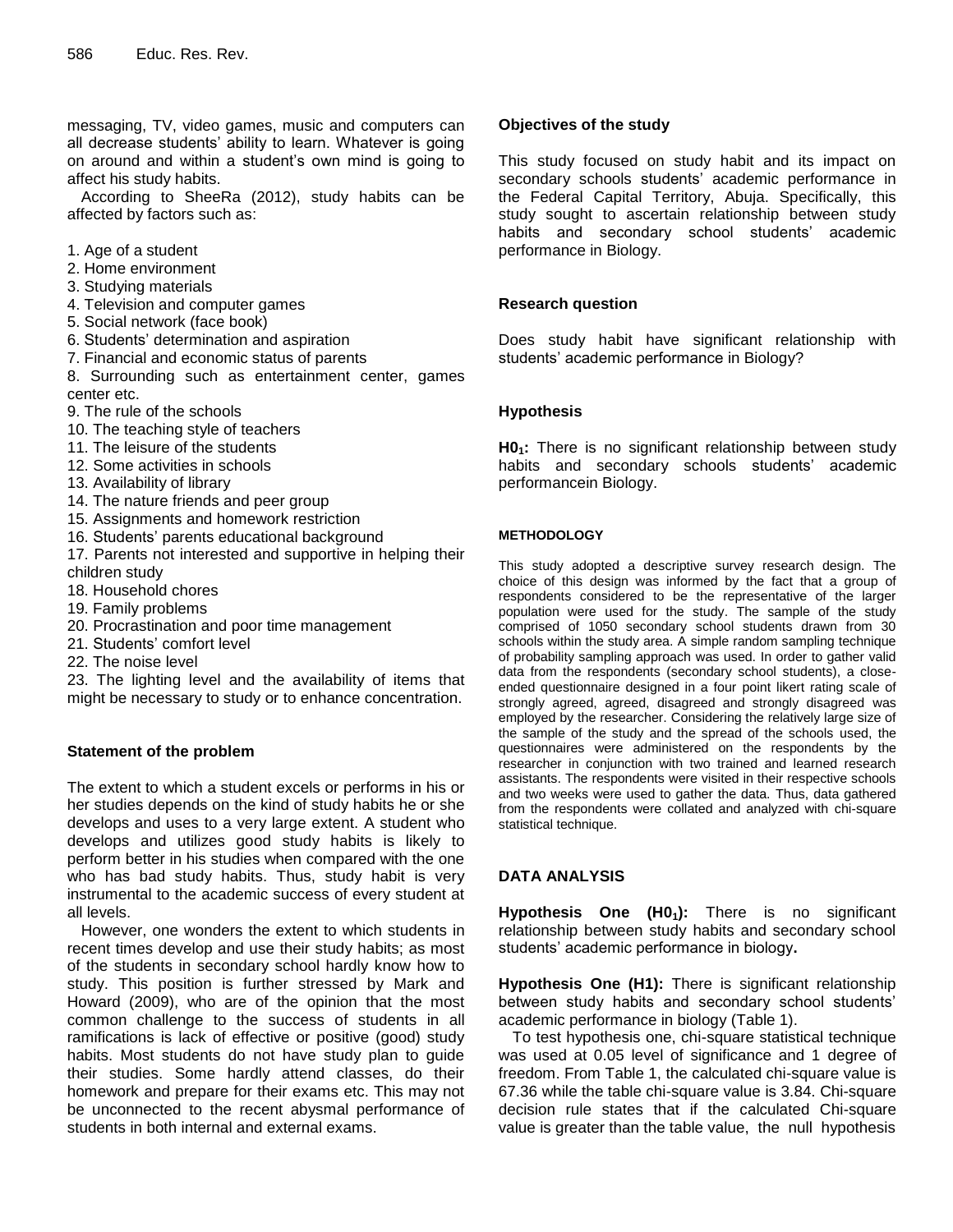messaging, TV, video games, music and computers can all decrease students' ability to learn. Whatever is going on around and within a student's own mind is going to affect his study habits.

According to SheeRa (2012), study habits can be affected by factors such as:

- 1. Age of a student
- 2. Home environment
- 3. Studying materials
- 4. Television and computer games
- 5. Social network (face book)
- 6. Students' determination and aspiration
- 7. Financial and economic status of parents
- 8. Surrounding such as entertainment center, games center etc.
- 9. The rule of the schools
- 10. The teaching style of teachers
- 11. The leisure of the students
- 12. Some activities in schools
- 13. Availability of library
- 14. The nature friends and peer group
- 15. Assignments and homework restriction
- 16. Students' parents educational background
- 17. Parents not interested and supportive in helping their children study
- 18. Household chores
- 19. Family problems
- 20. Procrastination and poor time management
- 21. Students' comfort level
- 22. The noise level

23. The lighting level and the availability of items that might be necessary to study or to enhance concentration.

#### **Statement of the problem**

The extent to which a student excels or performs in his or her studies depends on the kind of study habits he or she develops and uses to a very large extent. A student who develops and utilizes good study habits is likely to perform better in his studies when compared with the one who has bad study habits. Thus, study habit is very instrumental to the academic success of every student at all levels.

However, one wonders the extent to which students in recent times develop and use their study habits; as most of the students in secondary school hardly know how to study. This position is further stressed by Mark and Howard (2009), who are of the opinion that the most common challenge to the success of students in all ramifications is lack of effective or positive (good) study habits. Most students do not have study plan to guide their studies. Some hardly attend classes, do their homework and prepare for their exams etc. This may not be unconnected to the recent abysmal performance of students in both internal and external exams.

#### **Objectives of the study**

This study focused on study habit and its impact on secondary schools students' academic performance in the Federal Capital Territory, Abuja. Specifically, this study sought to ascertain relationship between study habits and secondary school students' academic performance in Biology.

#### **Research question**

Does study habit have significant relationship with students' academic performance in Biology?

#### **Hypothesis**

**H01:** There is no significant relationship between study habits and secondary schools students' academic performancein Biology.

#### **METHODOLOGY**

This study adopted a descriptive survey research design. The choice of this design was informed by the fact that a group of respondents considered to be the representative of the larger population were used for the study. The sample of the study comprised of 1050 secondary school students drawn from 30 schools within the study area. A simple random sampling technique of probability sampling approach was used. In order to gather valid data from the respondents (secondary school students), a closeended questionnaire designed in a four point likert rating scale of strongly agreed, agreed, disagreed and strongly disagreed was employed by the researcher. Considering the relatively large size of the sample of the study and the spread of the schools used, the questionnaires were administered on the respondents by the researcher in conjunction with two trained and learned research assistants. The respondents were visited in their respective schools and two weeks were used to gather the data. Thus, data gathered from the respondents were collated and analyzed with chi-square statistical technique.

#### **DATA ANALYSIS**

**Hypothesis One (H01):** There is no significant relationship between study habits and secondary school students' academic performance in biology**.**

**Hypothesis One (H1):** There is significant relationship between study habits and secondary school students' academic performance in biology (Table 1).

To test hypothesis one, chi-square statistical technique was used at 0.05 level of significance and 1 degree of freedom. From Table 1, the calculated chi-square value is 67.36 while the table chi-square value is 3.84. Chi-square decision rule states that if the calculated Chi-square value is greater than the table value, the null hypothesis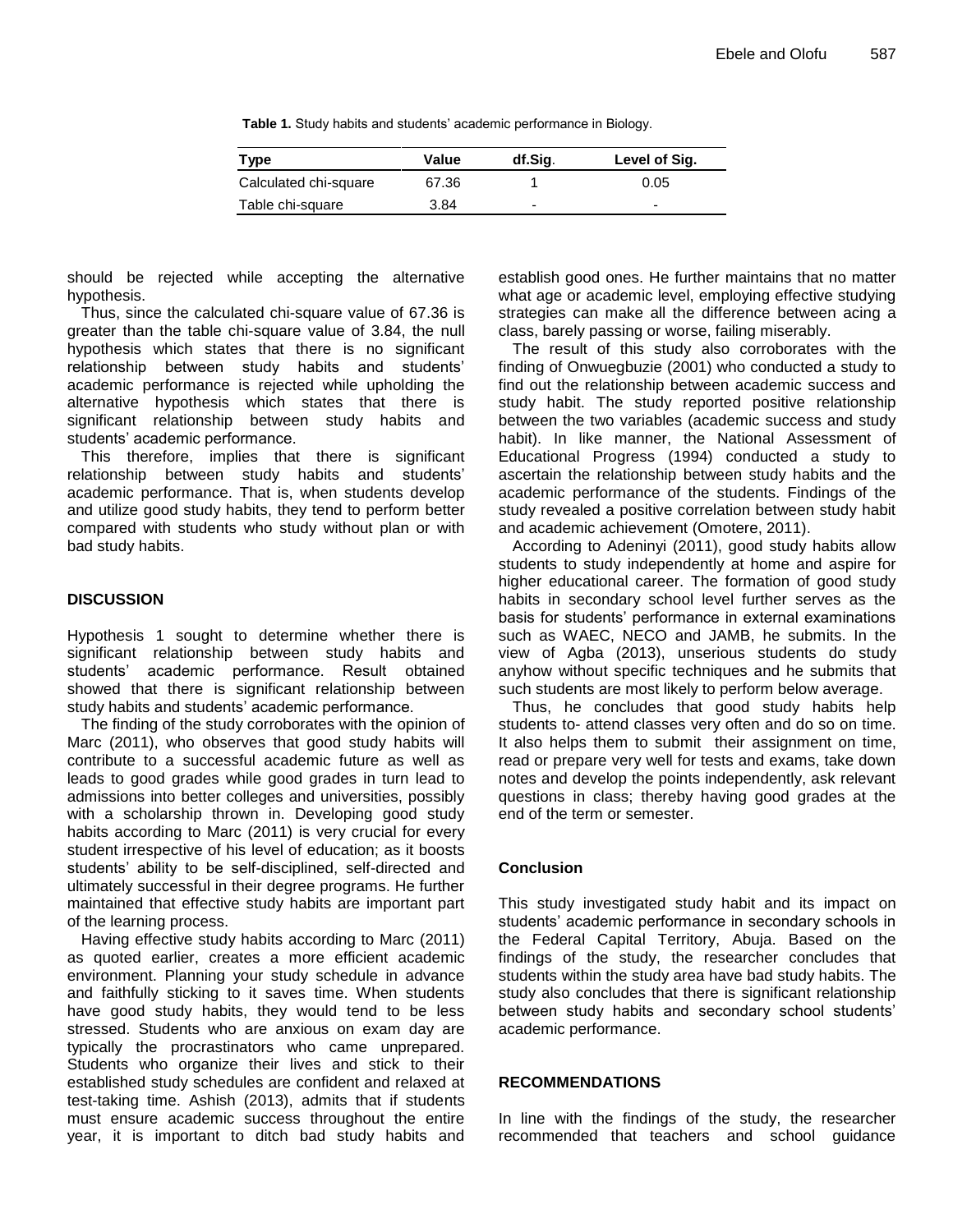|  | Table 1. Study habits and students' academic performance in Biology. |
|--|----------------------------------------------------------------------|
|--|----------------------------------------------------------------------|

| Type                  | Value | df.Sig. | Level of Sig.            |
|-----------------------|-------|---------|--------------------------|
| Calculated chi-square | 67.36 |         | 0.05                     |
| Table chi-square      | 3.84  | -       | $\overline{\phantom{a}}$ |

should be rejected while accepting the alternative hypothesis.

Thus, since the calculated chi-square value of 67.36 is greater than the table chi-square value of 3.84, the null hypothesis which states that there is no significant relationship between study habits and students' academic performance is rejected while upholding the alternative hypothesis which states that there is significant relationship between study habits and students' academic performance.

This therefore, implies that there is significant relationship between study habits and students' academic performance. That is, when students develop and utilize good study habits, they tend to perform better compared with students who study without plan or with bad study habits.

#### **DISCUSSION**

Hypothesis 1 sought to determine whether there is significant relationship between study habits and students' academic performance. Result obtained showed that there is significant relationship between study habits and students' academic performance.

The finding of the study corroborates with the opinion of Marc (2011), who observes that good study habits will contribute to a successful academic future as well as leads to good grades while good grades in turn lead to admissions into better colleges and universities, possibly with a scholarship thrown in. Developing good study habits according to Marc (2011) is very crucial for every student irrespective of his level of education; as it boosts students' ability to be self-disciplined, self-directed and ultimately successful in their degree programs. He further maintained that effective study habits are important part of the learning process.

Having effective study habits according to Marc (2011) as quoted earlier, creates a more efficient academic environment. Planning your study schedule in advance and faithfully sticking to it saves time. When students have good study habits, they would tend to be less stressed. Students who are anxious on exam day are typically the procrastinators who came unprepared. Students who organize their lives and stick to their established study schedules are confident and relaxed at test-taking time. Ashish (2013), admits that if students must ensure academic success throughout the entire year, it is important to ditch bad study habits and

establish good ones. He further maintains that no matter what age or academic level, employing effective studying strategies can make all the difference between acing a class, barely passing or worse, failing miserably.

The result of this study also corroborates with the finding of Onwuegbuzie (2001) who conducted a study to find out the relationship between academic success and study habit. The study reported positive relationship between the two variables (academic success and study habit). In like manner, the National Assessment of Educational Progress (1994) conducted a study to ascertain the relationship between study habits and the academic performance of the students. Findings of the study revealed a positive correlation between study habit and academic achievement (Omotere, 2011).

According to Adeninyi (2011), good study habits allow students to study independently at home and aspire for higher educational career. The formation of good study habits in secondary school level further serves as the basis for students' performance in external examinations such as WAEC, NECO and JAMB, he submits. In the view of Agba (2013), unserious students do study anyhow without specific techniques and he submits that such students are most likely to perform below average.

Thus, he concludes that good study habits help students to- attend classes very often and do so on time. It also helps them to submit their assignment on time, read or prepare very well for tests and exams, take down notes and develop the points independently, ask relevant questions in class; thereby having good grades at the end of the term or semester.

#### **Conclusion**

This study investigated study habit and its impact on students' academic performance in secondary schools in the Federal Capital Territory, Abuja. Based on the findings of the study, the researcher concludes that students within the study area have bad study habits. The study also concludes that there is significant relationship between study habits and secondary school students' academic performance.

#### **RECOMMENDATIONS**

In line with the findings of the study, the researcher recommended that teachers and school guidance